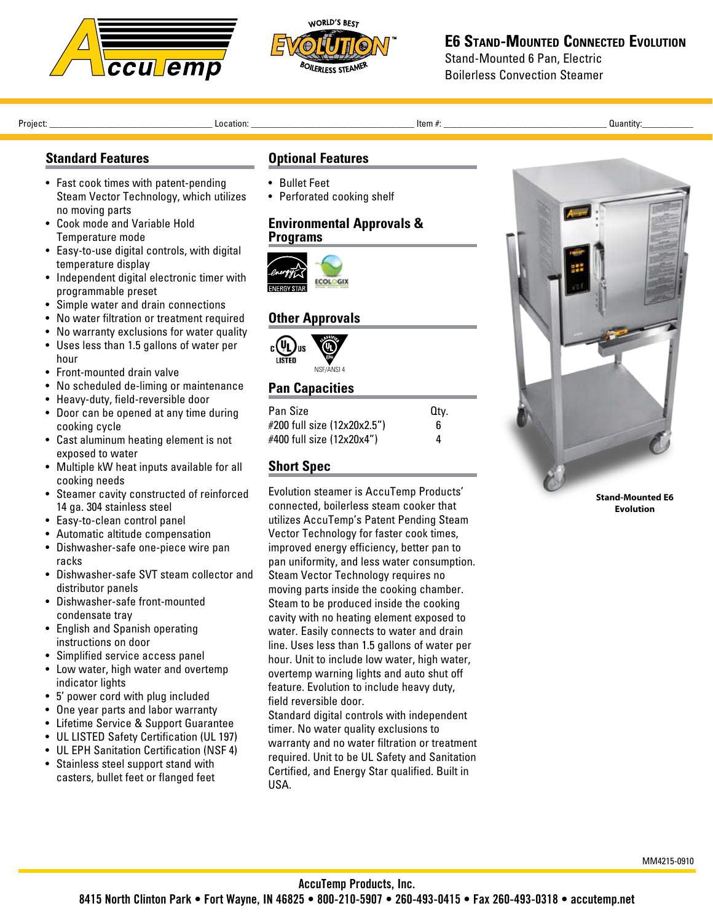



#### **E6 Stand-Mounted Connected Evolution** Stand-Mounted 6 Pan, Electric

Boilerless Convection Steamer

Project: \_\_\_\_\_\_\_\_\_\_\_\_\_\_\_\_\_\_\_\_\_\_\_\_\_\_\_\_\_\_\_\_\_\_\_ Location: \_\_\_\_\_\_\_\_\_\_\_\_\_\_\_\_\_\_\_\_\_\_\_\_\_\_\_\_\_\_\_\_\_\_\_ Item #: \_\_\_\_\_\_\_\_\_\_\_\_\_\_\_\_\_\_\_\_\_\_\_\_\_\_\_\_\_\_\_\_\_\_\_ Quantity:\_\_\_\_\_\_\_\_\_\_\_ 

## **Standard Features**

- Fast cook times with patent-pending Steam Vector Technology, which utilizes no moving parts
- Cook mode and Variable Hold Temperature mode
- Easy-to-use digital controls, with digital temperature display
- Independent digital electronic timer with programmable preset
- Simple water and drain connections
- No water filtration or treatment required
- No warranty exclusions for water quality
- • Uses less than 1.5 gallons of water per hour
- Front-mounted drain valve
- No scheduled de-liming or maintenance
- Heavy-duty, field-reversible door
- Door can be opened at any time during cooking cycle
- • Cast aluminum heating element is not exposed to water
- • Multiple kW heat inputs available for all cooking needs
- • Steamer cavity constructed of reinforced 14 ga. 304 stainless steel
- Easy-to-clean control panel
- • Automatic altitude compensation
- • Dishwasher-safe one-piece wire pan racks
- Dishwasher-safe SVT steam collector and distributor panels
- • Dishwasher-safe front-mounted condensate tray
- English and Spanish operating instructions on door
- • Simplified service access panel
- Low water, high water and overtemp indicator lights
- • 5' power cord with plug included
- One year parts and labor warranty
- • Lifetime Service & Support Guarantee
- UL LISTED Safety Certification (UL 197)
- UL EPH Sanitation Certification (NSF 4)
- Stainless steel support stand with casters, bullet feet or flanged feet

#### **Optional Features**

- • Bullet Feet
- Perforated cooking shelf

#### **Environmental Approvals & Programs**



### **Other Approvals**



## **Pan Capacities**

| <b>Pan Size</b>             | Qtv. |
|-----------------------------|------|
| #200 full size (12x20x2.5") | 6    |
| #400 full size (12x20x4")   | 4    |

#### **Short Spec**

Evolution steamer is AccuTemp Products' connected, boilerless steam cooker that utilizes AccuTemp's Patent Pending Steam Vector Technology for faster cook times, improved energy efficiency, better pan to pan uniformity, and less water consumption. Steam Vector Technology requires no moving parts inside the cooking chamber. Steam to be produced inside the cooking cavity with no heating element exposed to water. Easily connects to water and drain line. Uses less than 1.5 gallons of water per hour. Unit to include low water, high water, overtemp warning lights and auto shut off feature. Evolution to include heavy duty, field reversible door.

Standard digital controls with independent timer. No water quality exclusions to warranty and no water filtration or treatment required. Unit to be UL Safety and Sanitation Certified, and Energy Star qualified. Built in USA.



**Stand-Mounted E6 Evolution**